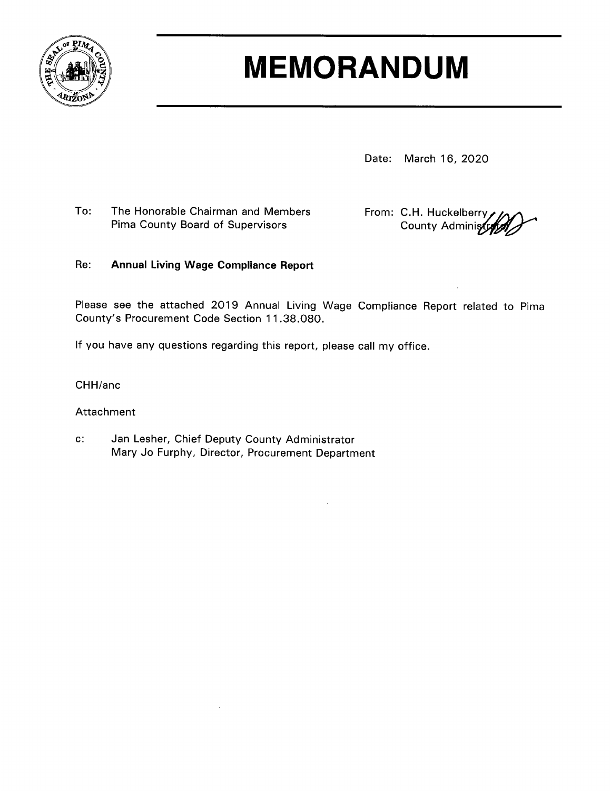

# **MEMORANDUM**

Date: March 16, 2020

To: The Honorable Chairman and Members Pima County Board of Supervisors

From: C.H. Huckelberry **County Administ** 

#### Re: **Annual Living Wage Compliance Report**

Please see the attached 2019 Annual Living Wage Compliance Report related to Pima County's Procurement Code Section 11.38.080.

If you have any questions regarding this report, please call my office.

CHH/anc

Attachment

 $C$ : Jan Lesher, Chief Deputy County Administrator Mary Jo Furphy, Director, Procurement Department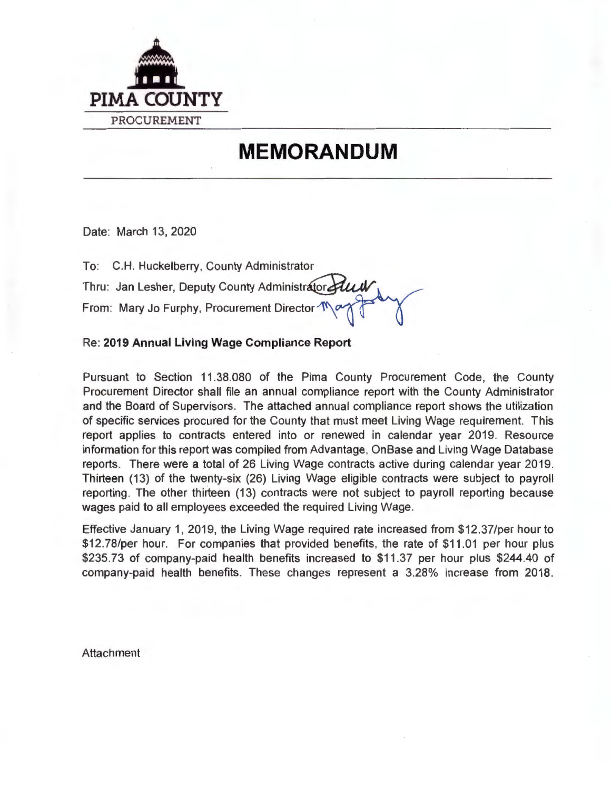

# **MEMORANDUM**

Date: March 13, 2020

| To: C.H. Huckelberry, County Administrator                                                                    |
|---------------------------------------------------------------------------------------------------------------|
|                                                                                                               |
| Thru: Jan Lesher, Deputy County Administrator Plus<br>From: Mary Jo Furphy, Procurement Director $\mathbb{N}$ |

Re : **2019 Annual Living Wage Compliance Report** 

Pursuant to Section 11 .38.080 of the Pima County Procurement Code, the County Procurement Director shall file an annual compliance report with the County Administrator and the Board of Supervisors. The attached annual compliance report shows the utilization of specific services procured for the County that must meet Living Wage requirement. This report applies to contracts entered into or renewed in calendar year 2019. Resource information for this report was compiled from Advantage, On Base and Living Wage Database reports. There were a total of 26 Living Wage contracts active during calendar year 2019. Thirteen (13) of the twenty-six (26) Living Wage eligible contracts were subject to payroll reporting. The other thirteen (13) contracts were not subject to payroll reporting because wages paid to all employees exceeded the required Living Wage.

Effective January 1, 2019, the Living Wage required rate increased from \$12.37/per hour to \$12.78/per hour. For companies that provided benefits, the rate of \$11.01 per hour plus \$235.73 of company-paid health benefits increased to \$11 .37 per hour plus \$244.40 of company-paid health benefits. These changes represent a 3.28% increase from 2018.

**Attachment**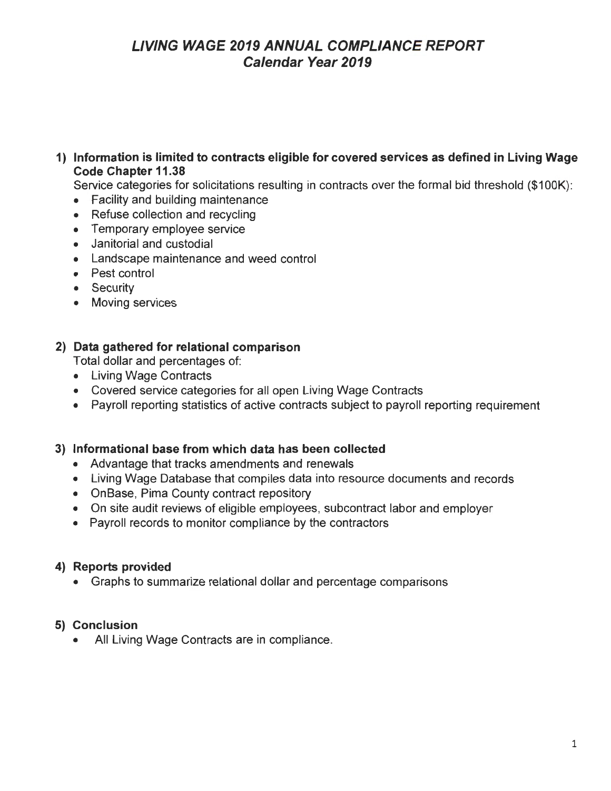#### **1) Information is limited to contracts eligible for covered services as defined in Living Wage Code Chapter 11.38**

Service categories for solicitations resulting in contracts over the formal bid threshold (\$100K):

- Facility and building maintenance
- Refuse collection and recycling
- Temporary employee service
- Janitorial and custodial
- Landscape maintenance and weed control
- Pest control
- Security
- Moving services

#### **2) Data gathered for relational comparison**

Total dollar and percentages of:

- Living Wage Contracts
- Covered service categories for all open Living Wage Contracts
- Payroll reporting statistics of active contracts subject to payroll reporting requirement

#### **3) Informational base from which data has been collected**

- Advantage that tracks amendments and renewals
- Living Wage Database that compiles data into resource documents and records
- OnBase, Pima County contract repository
- On site audit reviews of eligible employees, subcontract labor and employer
- Payroll records to monitor compliance by the contractors

#### **4) Reports provided**

• Graphs to summarize relational dollar and percentage comparisons

#### **5) Conclusion**

• All Living Wage Contracts are in compliance.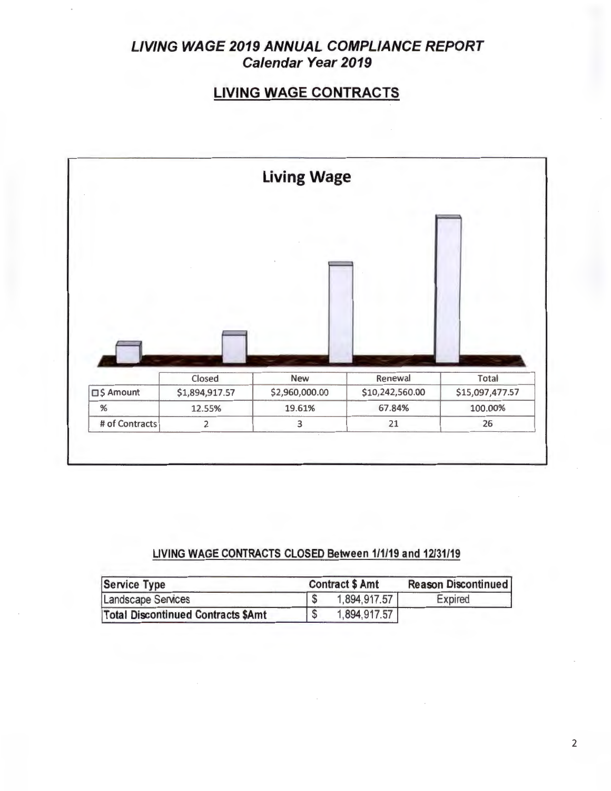# **LIVING WAGE CONTRACTS**



#### **LIVING WAGE CONTRACTS CLOSED Between 1/1/19 and 12/31/19**

| Service Type                              | <b>Contract \$ Amt</b> | <b>Reason Discontinued</b><br><b>Expired</b> |
|-------------------------------------------|------------------------|----------------------------------------------|
| Landscape Services                        | 1,894,917.57           |                                              |
| <b>Total Discontinued Contracts \$Amt</b> | 1,894,917.57           |                                              |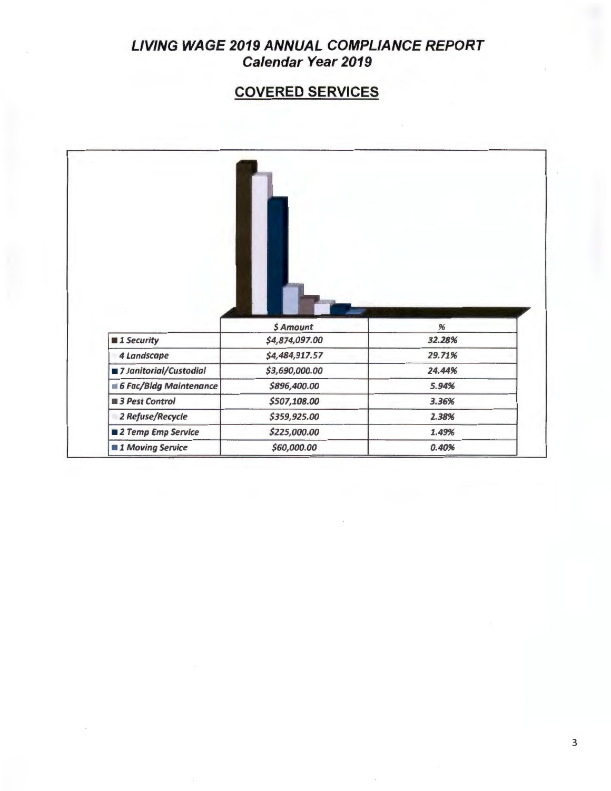# **COVERED SERVICES**

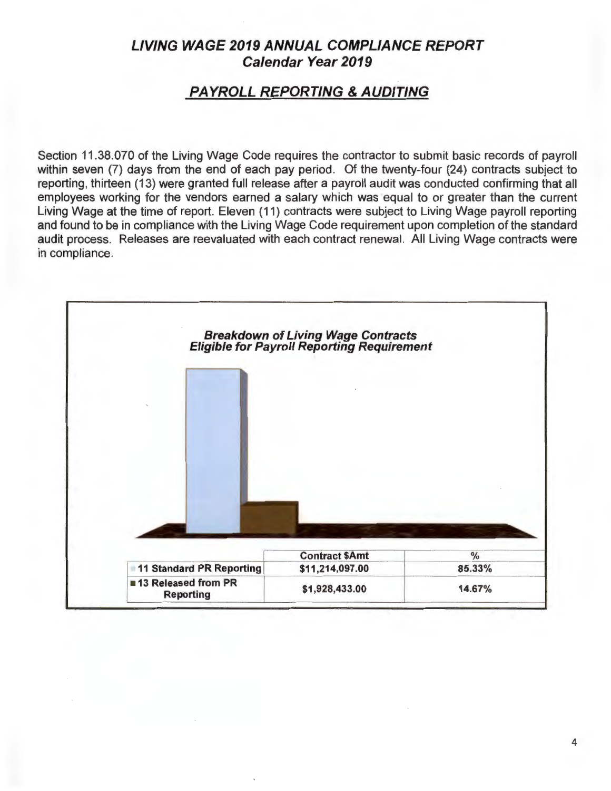### **PAYROLL REPORTING** & **AUDITING**

Section 11.38.070 of the Living Wage Code requires the contractor to submit basic records of payroll within seven (7) days from the end of each pay period. Of the twenty-four (24) contracts subject to reporting, thirteen (13) were granted full release after a payroll audit was conducted confirming that all employees working for the vendors earned a salary which was equal to or greater than the current Living Wage at the time of report. Eleven (11) contracts were subject to Living Wage payroll reporting and found to be in compliance with the Living Wage Code requirement upon completion of the standard audit process. Releases are reevaluated with each contract renewal. All Living Wage contracts were in compliance.